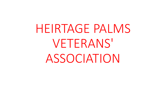HEIRTAGE PALMS VETERANS' ASSOCIATION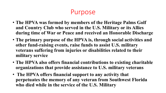## Purpose

- **The HPVA was formed by members of the Heritage Palms Golf and Country Club who served in the U.S. Military or its Allies during time of War or Peace and received an Honorable Discharge**
- **The primary purpose of the HPVA is, through social activities and other fund-raising events, raise funds to assist U.S. military veterans suffering from injuries or disabilities related to their military service**
- **The HPVA also offers financial contributions to existing charitable organizations that provide assistance to U.S. military veterans**
- **The HPVA offers financial support to any activity that perpetuates the memory of any veteran from Southwest Florida who died while in the service of the U.S. Military**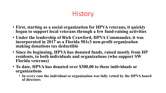# **History**

- **First, starting as a social organization for HPVA veterans, it quickly began to support local veterans through a few fund-raising activities**
- **Under the leadership of Rich Crawford, HPVA Commander, it was incorporated in 2017 as a Florida 501c3 non-profit organization making donations tax deductible**
- **Since its beginning, HPVA has donated funds, raised mostly from HP residents, to both individuals and organizations (who support SW Florida veterans)**
- **To date, HPVA has donated over \$300,00 to these individuals or organizations**
	- **In every case the individual or organization was fully vetted by the HPVA board of directors**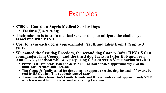- **\$75K to Guardian Angels Medical Service Dogs**
	- **For three (3) service dogs**
- **Their mission is to train medical service dogs to mitigate the challenges associated with PTSD**
- **Cost to train each dog is approximately \$25K and takes from 1 ½ up to 3 years**
- **We named the first dog Freedom, the second dog Cooney (after HPVA'S first commander, Tim Cooney) and the third dog Jackson (after Bob and Jerri**  Ann Cox's grandson who was preparing for a career n Veterinarian service)
	- **Previous HP residents, Bob and Jerri Ann Cox had donated approximately ½ of the funds for Freedom and Jackson**
	- **Tim Cooney's family asked for donations to support a service dog, instead of flowers, be sent to HPVA when Tim suddenly passed away**
	- **These donations from Tim's family, friends and HP residents raised approximately \$20K, which was used to fund the second service dog Freedom**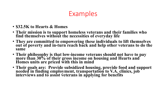- **\$32.5K to Hearts & Homes**
- **Their mission is to support homeless veterans and their families who find themselves without the necessities of everyday life**
- **They are committed to empowering these individuals to lift themselves out of poverty and in-turn reach back and help other veterans to do the same**
- **Their philosophy is that low-income veterans should not have to pay more than 30% of their gross income on housing and Hearts and Homes units are priced with this in mind**
- **Their goals are: Provide subsidized housing, provide food and support needed in finding employment, transportation to V.A. clinics, job interviews and to assist veterans in applying for benefits**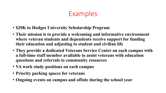- **\$20K to Hodges University Scholarship Program**
- **Their mission is to provide a welcoming and informative environment where veteran students and dependents receive support for funding their education and adjusting to student and civilian life**
- **They provide a dedicated Veterans Service Center on each campus with a full-time staff member available to assist veterans with education questions and referrals to community resources**
- **VA work study positions on each campus**
- **Priority parking spaces for veterans**
- **Ongoing events on campus and offsite during the school year**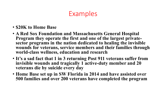- **\$20K to Home Base**
- **A Red Sox Foundation and Massachusetts General Hospital Program they operate the first and one of the largest privatesector programs in the nation dedicated to healing the invisible wounds for veterans, service members and their families through world-class wellness, education and research**
- **It's a sad fact that 1 in 3 returning Post 911 veterans suffer from invisible wounds and tragically 1 active-duty member and 20 veterans die by suicide every day**
- **Home Base set up in SW Florida in 2014 and have assisted over 500 families and over 200 veterans have completed the program**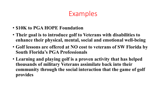- **\$10K to PGA HOPE Foundation**
- **Their goal is to introduce golf to Veterans with disabilities to enhance their physical, mental, social and emotional well-being**
- **Golf lessons are offered at NO cost to veterans of SW Florida by South Florida's PGA Professionals**
- **Learning and playing golf is a proven activity that has helped thousands of military Veterans assimilate back into their community through the social interaction that the game of golf provides**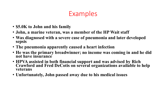- **\$5.0K to John and his family**
- **John, a marine veteran, was a member of the HP Wait staff**
- **Was diagnosed with a severe case of pneumonia and later developed sepsis**
- **The pneumonia apparently caused a heart infection**
- **He was the primary breadwinner; no income was coming in and he did not have insurance**
- **HPVA assisted in both financial support and was advised by Rich Crawford and Fred DeCotis on several organizations available to help veterans**
- **Unfortunately, John passed away due to his medical issues**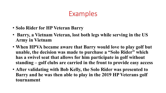- **Solo Rider for HP Veteran Barry**
- **Barry, a Vietnam Veteran, lost both legs while serving in the US Army in Vietnam**
- **When HPVA became aware that Barry would love to play golf but unable, the decision was made to purchase a "Solo Rider" which has a swivel seat that allows for him participate in golf without standing – golf clubs are carried in the front to provide easy access**
- **After validating with Bob Kelly, the Solo Rider was presented to Barry and he was then able to play in the 2019 HP Veterans golf tournament**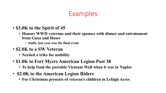- **\$3.0K to the Spirit of 45**
	- **Honors WWII veterans and their spouses with dinner and entrainment from Guns and Hoses**
		- **Sadly, last year was the final event**
- **\$2.0K to a SW Veteran**
	- **Needed a trike for mobility**
- **\$1.0K to Fort Myers American Legion Post 38**
	- **To help fund the portable Vietnam Wall when it was in Naples**
- **\$2.0K to the American Legion Riders**
	- **For Christmas presents of veteran's children in Lehigh Acres**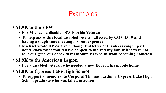- **\$1.9K to the VFW**
	- **For Michael, a disabled SW Florida Veteran**
	- **To help assist this local disabled veteran affected by COVID 19 and having a tough time meeting his rent expenses**
	- **Michael wrote HPVA a very thoughtful letter of thanks saying in part "l don't know what would have happen to me and my family if it were not for your generous check that absolutely saved us from becoming homeless**
- **\$1.9K to the American Legion**
	- **For a disabled veteran who needed a new floor in his mobile home**
- **\$1.0K to Cypress Lake High School**
	- **To support a memorial to Corporal Thomas Jardin, a Cypress Lake High School graduate who was killed in action**